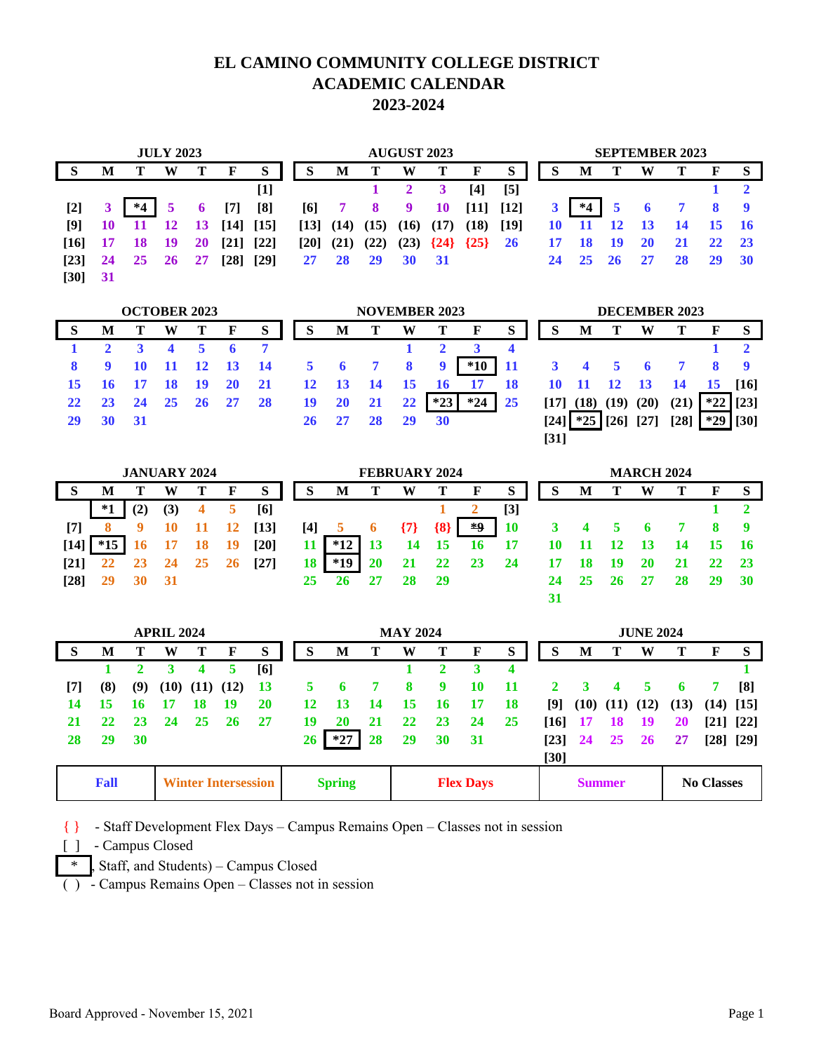### **EL CAMINO COMMUNITY COLLEGE DISTRICT ACADEMIC CALENDAR 2023-2024**

|                    |    |      | <b>JULY 2023</b> |           |                    |                    | <b>AUGUST 2023</b> |               |           |           |           |             | <b>SEPTEMBER 2023</b> |    |      |           |           |    |              |                |
|--------------------|----|------|------------------|-----------|--------------------|--------------------|--------------------|---------------|-----------|-----------|-----------|-------------|-----------------------|----|------|-----------|-----------|----|--------------|----------------|
|                    | M  |      | W                |           | F                  | S                  | S                  | M             | т         | W         | т         | $\mathbf F$ | S                     | S  | M    |           | W         | т  | $\mathbf{F}$ | S              |
|                    |    |      |                  |           |                    | $[1]$              |                    |               |           |           |           | [4]         | $\lbrack 5 \rbrack$   |    |      |           |           |    |              |                |
| $[2]$              |    | $*4$ |                  | 6         | $[7]$              | [8]                | [6]                | 7             | 8         | 9         | <b>10</b> | $[11]$      | $[12]$                |    | $*4$ | 5         |           |    | 8            |                |
| [9]                | 10 |      | <b>12</b>        | <b>13</b> | $[14]$             | $\lceil 15 \rceil$ |                    | $[13]$ $(14)$ | (15)      | (16)      | (17)      | (18)        | $[19]$                | 10 | -11  | 12        | <b>13</b> | 14 | 15 16        |                |
| [16]               | 17 | 18   | -19              | <b>20</b> | $[21]$             | $[22]$             | $\lceil 20 \rceil$ | (21)          | (22)      | (23)      | ${24}$    | {25}        | 26                    | 17 | 18   | 19        | 20        | 21 | <b>22</b>    | $\frac{23}{2}$ |
| $\lceil 23 \rceil$ | 24 | 25   | 26               | 27        | $\lceil 28 \rceil$ | [29]               | 27                 | 28            | <b>29</b> | <b>30</b> | - 31      |             |                       | 24 | 25   | <b>26</b> | 27        | 28 | 29           | -30            |
| $[30]$             | 31 |      |                  |           |                    |                    |                    |               |           |           |           |             |                       |    |      |           |           |    |              |                |

|    |          | <b>OCTOBER 2023</b> |      |       |             |           |                            | <b>NOVEMBER 2023</b>     |                |                         |             |                |      |                             | <b>DECEMBER 2023</b> |             |      |                 |       |                    |  |
|----|----------|---------------------|------|-------|-------------|-----------|----------------------------|--------------------------|----------------|-------------------------|-------------|----------------|------|-----------------------------|----------------------|-------------|------|-----------------|-------|--------------------|--|
|    | М        |                     | W    |       | F           | S         |                            | M                        |                | W                       |             | $\mathbf{F}$   | S    | S                           | M                    |             | W    |                 | F     | - S                |  |
|    |          |                     |      |       |             |           |                            |                          |                |                         |             |                |      |                             |                      |             |      |                 |       |                    |  |
|    | -9       | <b>10</b>           |      |       | 11 12 13 14 |           | $\overline{\phantom{0}}$ 5 | $\overline{\phantom{0}}$ | $\overline{7}$ | $\overline{\mathbf{8}}$ | $\mathbf Q$ | $*10$ 11       |      | $3 \quad 4 \quad 5 \quad 6$ |                      |             |      | 7 8             |       |                    |  |
|    | 15 16 17 |                     | - 18 | $-19$ | <b>20</b>   | <b>21</b> | 12                         | $\overline{13}$          | - 14           | - 15                    | 16          | $\frac{17}{2}$ | - 18 |                             |                      | 10 11 12 13 |      | $\overline{14}$ | 15    | $\lceil 16 \rceil$ |  |
|    | 23       | 24 25 26            |      |       | 27          | <b>28</b> | 19                         | <b>20</b>                | 21             | $22 \,$                 | $*23$       | $*24$          | 25   | [17]                        | (18)                 | (19)        | (20) | (21)            | $*22$ | $\lceil 23 \rceil$ |  |
| 29 |          |                     |      |       |             |           | 26                         | 27                       |                | 29                      | <b>30</b>   |                |      | [24]]                       | $*25$                |             |      | [28]            | $*29$ | [30]               |  |

| <b>JANUARY 2024</b> |       |     |     |    |    |        | <b>FEBRUARY 2024</b> |       |           |       |       |              |                     |    | <b>MARCH 2024</b> |           |           |    |    |     |  |
|---------------------|-------|-----|-----|----|----|--------|----------------------|-------|-----------|-------|-------|--------------|---------------------|----|-------------------|-----------|-----------|----|----|-----|--|
|                     | M     |     | w   |    | F  | S      | S                    | M     | т         | W     |       | $\mathbf{F}$ | S                   | S  | M                 |           | W         | т  | F  | S   |  |
|                     | $^*1$ | (2) | (3) |    | 5  | [6]    |                      |       |           |       |       |              | $\lbrack 3 \rbrack$ |    |                   |           |           |    |    |     |  |
| $^{[7]}$            | 8     | 9   | 10  | 11 | 12 | $[13]$ | $[4]$                | ð     | 6         | ${7}$ | ${8}$ | *9           | <b>10</b>           |    |                   |           | $\bullet$ |    | 8  |     |  |
| [14]                | $*15$ | 16  |     | 18 | 19 | [20]   | 11                   | $*12$ | <b>13</b> | 14    | - 15  | 16           | 17                  |    | 11                | 12        | - 13      | 14 |    | -16 |  |
| [21]                | 22    |     | 24  | 25 | 26 | [27]   | 18                   | *19   | 20        | 21    | 22    | 23           | 24                  | 17 | 18                | <b>19</b> | 20        | 21 |    |     |  |
| [28]                | 29    | 30  | -31 |    |    |        | 25                   | 26    |           | 28    | - 29  |              |                     | 24 | 25                | 26        |           | 28 | 29 | 30  |  |
|                     |       |     |     |    |    |        |                      |       |           |       |       |              |                     | 31 |                   |           |           |    |    |     |  |

**[31]**

| <b>APRIL 2024</b> |                                           |     |    |               |                                   |     |    | <b>MAY 2024</b> |    |                                    |    |             |           |                    | <b>JUNE 2024</b> |    |               |      |  |             |  |
|-------------------|-------------------------------------------|-----|----|---------------|-----------------------------------|-----|----|-----------------|----|------------------------------------|----|-------------|-----------|--------------------|------------------|----|---------------|------|--|-------------|--|
| S                 | M                                         |     | W  |               | F                                 | S   | S  | M               |    | W                                  |    | $\mathbf F$ | S         | <b>S</b>           | M                |    | W             |      |  | S           |  |
|                   |                                           |     |    | 4             | 5                                 | [6] |    |                 |    |                                    |    |             | 4         |                    |                  |    |               |      |  |             |  |
| [7]               | (8)                                       | (9) |    | $(10)$ $(11)$ | (12)                              | -13 |    | 6               |    | 8                                  | 9  | 10          | -11       | 2                  | 3                | 4  | 5             | 6    |  | [8]         |  |
| 14                | 15                                        |     |    | 18            | 19                                | 20  | 12 | 13              | 14 | 15                                 | 16 | 17          | <b>18</b> | [9]                | (10)             |    | $(11)$ $(12)$ | (13) |  | $(14)$ [15] |  |
| 21                | 22                                        | 23  | 24 | 25            | -26                               | 27  | 19 | 20              | 21 | 22                                 | 23 | 24          | <b>25</b> | [16]               | 17               | 18 | - 19          | 20   |  | [21] [22]   |  |
| 28                | 29                                        | 30  |    |               |                                   |     | 26 | $*27$           | 28 | 29                                 | 30 | 31          |           | $\lceil 23 \rceil$ | 24               | 25 | <b>26</b>     | 27   |  | [28] [29]   |  |
|                   |                                           |     |    |               |                                   |     |    |                 |    |                                    |    |             |           | $[30]$             |                  |    |               |      |  |             |  |
|                   | <b>Winter Intersession</b><br><b>Fall</b> |     |    |               | <b>Spring</b><br><b>Flex Days</b> |     |    |                 |    | <b>No Classes</b><br><b>Summer</b> |    |             |           |                    |                  |    |               |      |  |             |  |

{ } - Staff Development Flex Days – Campus Remains Open – Classes not in session

[ ] - Campus Closed

 $*$ , Staff, and Students) – Campus Closed

( ) - Campus Remains Open – Classes not in session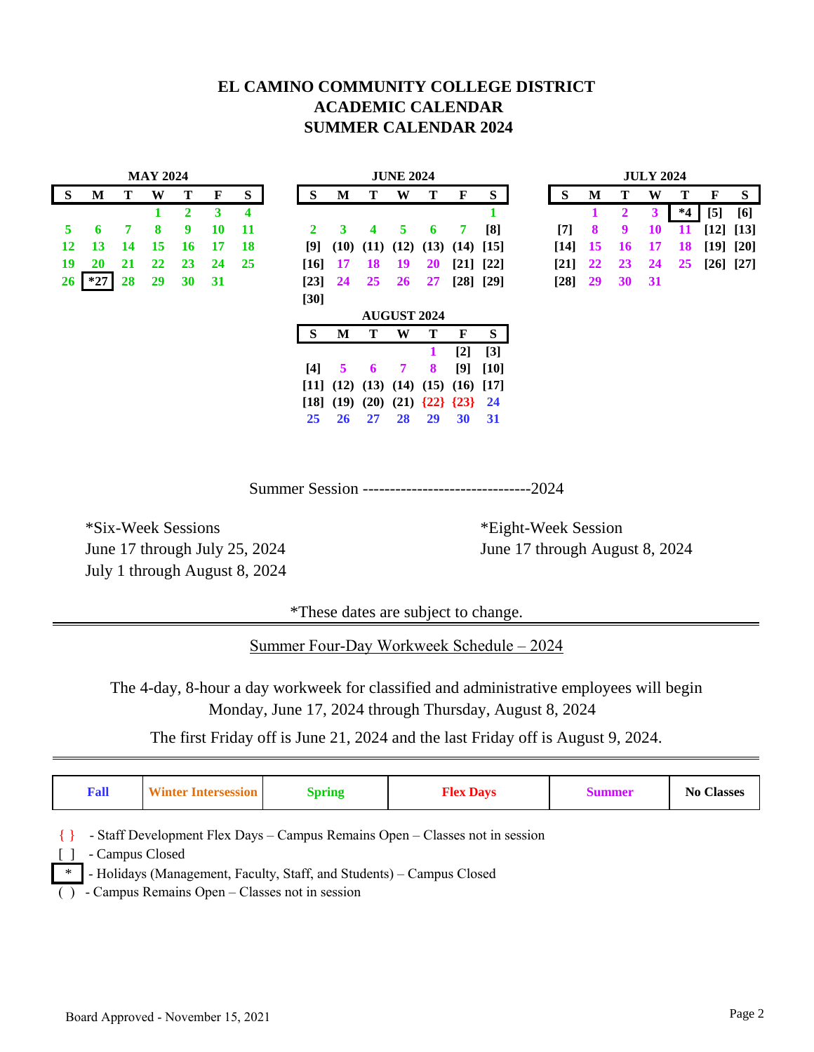#### **EL CAMINO COMMUNITY COLLEGE DISTRICT ACADEMIC CALENDAR SUMMER CALENDAR 2024**

|                 | <b>MAY 2024</b> |    |    |              |    |           | <b>JUNE 2024</b> |               |      |                                                  |                      |                |           | <b>JULY 2024</b> |           |           |    |       |           |           |
|-----------------|-----------------|----|----|--------------|----|-----------|------------------|---------------|------|--------------------------------------------------|----------------------|----------------|-----------|------------------|-----------|-----------|----|-------|-----------|-----------|
| <b>S</b>        | M               | т  | W  | т            | F  | S         | S                | M             | т    | W                                                | Т                    | F              | S         | S                | M         |           | W  | т     | F         | S         |
|                 |                 |    |    | $\mathbf{2}$ | 3  | 4         |                  |               |      |                                                  |                      |                |           |                  |           | 2         | 3  | $^*4$ | $[5]$     | [6]       |
| 5               | 6               | 7  | 8  | 9            | 10 | 11        | 2                | 3             | 4    | 5                                                | 6                    | 7              | [8]       | $[7]$            | 8         | 9         | 10 | 11    | [12] [13] |           |
| 12              | 13              | 14 | 15 | 16           | 17 | <b>18</b> | [9]              | (10)          | (11) | (12)                                             | $(13)$ $(14)$ $[15]$ |                |           | $[14]$           | <b>15</b> | 16        | 17 | 18    |           | [19] [20] |
| 19              | 20              | 21 | 22 | 23           | 24 | 25        | $[16]$           | <b>17</b>     | 18   | 19                                               | <b>20</b>            |                | [21] [22] | $[21]$           | 22        | <b>23</b> | 24 | 25    |           | [26] [27] |
| 26 <sup>2</sup> | $*27$           | 28 | 29 | 30           | 31 |           | $[23]$           | 24            | 25   | <b>26</b>                                        | 27                   |                | [28] [29] | $[28]$ 29        |           | 30        | 31 |       |           |           |
|                 |                 |    |    |              |    |           | $[30]$           |               |      |                                                  |                      |                |           |                  |           |           |    |       |           |           |
|                 |                 |    |    |              |    |           |                  |               |      | <b>AUGUST 2024</b>                               |                      |                |           |                  |           |           |    |       |           |           |
|                 |                 |    |    |              |    |           | <sub>S</sub>     | M             | т    | W                                                | т                    | F              | S         |                  |           |           |    |       |           |           |
|                 |                 |    |    |              |    |           |                  |               |      |                                                  |                      | $\mathsf{I2l}$ | $[3]$     |                  |           |           |    |       |           |           |
|                 |                 |    |    |              |    |           | $[4]$            | 5             | 6    | 7                                                | 8                    | [9]            | $[10]$    |                  |           |           |    |       |           |           |
|                 |                 |    |    |              |    |           |                  |               |      | $[11]$ $(12)$ $(13)$ $(14)$ $(15)$ $(16)$ $[17]$ |                      |                |           |                  |           |           |    |       |           |           |
|                 |                 |    |    |              |    |           |                  | $[18]$ $(19)$ | (20) | (21)                                             |                      | ${22}$ ${23}$  | 24        |                  |           |           |    |       |           |           |
|                 |                 |    |    |              |    |           | 25               | 26            | 27   | 28                                               | 29                   | 30             | 31        |                  |           |           |    |       |           |           |

Summer Session -------------------------------2024

\*Six-Week Sessions \*Eight-Week Session July 1 through August 8, 2024

June 17 through July 25, 2024 June 17 through August 8, 2024

\*These dates are subject to change.

Summer Four-Day Workweek Schedule – 2024

The 4-day, 8-hour a day workweek for classified and administrative employees will begin Monday, June 17, 2024 through Thursday, August 8, 2024

The first Friday off is June 21, 2024 and the last Friday off is August 9, 2024.

| Fall            | <b>Winter Intersession</b>                                                   | <b>Spring</b>                                                         | <b>Flex Days</b> | <b>Summer</b> | <b>No Classes</b> |  |  |  |  |  |  |
|-----------------|------------------------------------------------------------------------------|-----------------------------------------------------------------------|------------------|---------------|-------------------|--|--|--|--|--|--|
|                 | - Staff Development Flex Days – Campus Remains Open – Classes not in session |                                                                       |                  |               |                   |  |  |  |  |  |  |
| - Campus Closed |                                                                              |                                                                       |                  |               |                   |  |  |  |  |  |  |
| $\ast$          |                                                                              | - Holidays (Management, Faculty, Staff, and Students) - Campus Closed |                  |               |                   |  |  |  |  |  |  |
|                 | - Campus Remains Open – Classes not in session                               |                                                                       |                  |               |                   |  |  |  |  |  |  |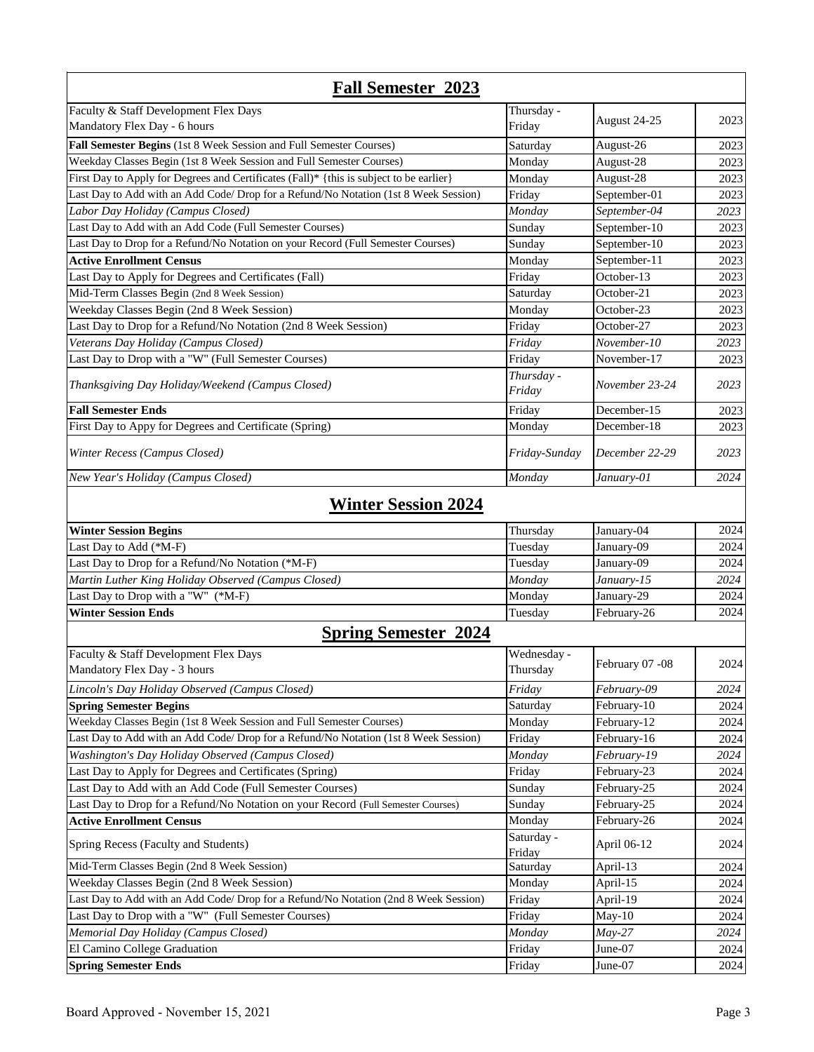| <b>Fall Semester 2023</b>                                                               |                      |                 |      |
|-----------------------------------------------------------------------------------------|----------------------|-----------------|------|
| Faculty & Staff Development Flex Days                                                   | Thursday -           |                 |      |
| Mandatory Flex Day - 6 hours                                                            | Friday               | August 24-25    | 2023 |
| Fall Semester Begins (1st 8 Week Session and Full Semester Courses)                     | Saturday             | August-26       | 2023 |
| Weekday Classes Begin (1st 8 Week Session and Full Semester Courses)                    | Monday               | August-28       | 2023 |
| First Day to Apply for Degrees and Certificates (Fall)* {this is subject to be earlier} | Monday               | August-28       | 2023 |
| Last Day to Add with an Add Code/ Drop for a Refund/No Notation (1st 8 Week Session)    | Friday               | September-01    | 2023 |
| Labor Day Holiday (Campus Closed)                                                       | Monday               | September-04    | 2023 |
| Last Day to Add with an Add Code (Full Semester Courses)                                | Sunday               | September-10    | 2023 |
| Last Day to Drop for a Refund/No Notation on your Record (Full Semester Courses)        | Sunday               | September-10    | 2023 |
| <b>Active Enrollment Census</b>                                                         | Monday               | September-11    | 2023 |
| Last Day to Apply for Degrees and Certificates (Fall)                                   | Friday               | October-13      | 2023 |
| Mid-Term Classes Begin (2nd 8 Week Session)                                             | Saturday             | October-21      | 2023 |
| Weekday Classes Begin (2nd 8 Week Session)                                              | Monday               | October-23      | 2023 |
| Last Day to Drop for a Refund/No Notation (2nd 8 Week Session)                          | Friday               | October-27      | 2023 |
| Veterans Day Holiday (Campus Closed)                                                    | Friday               | November-10     | 2023 |
| Last Day to Drop with a "W" (Full Semester Courses)                                     | Friday               | November-17     | 2023 |
|                                                                                         | Thursday -           |                 |      |
| Thanksgiving Day Holiday/Weekend (Campus Closed)                                        | Friday               | November 23-24  | 2023 |
| <b>Fall Semester Ends</b>                                                               | Friday               | December-15     | 2023 |
| First Day to Appy for Degrees and Certificate (Spring)                                  | Monday               | December-18     | 2023 |
| Winter Recess (Campus Closed)                                                           | Friday-Sunday        | December 22-29  | 2023 |
| New Year's Holiday (Campus Closed)                                                      | Monday               | January-01      | 2024 |
| <b>Winter Session 2024</b>                                                              |                      |                 |      |
| <b>Winter Session Begins</b>                                                            | Thursday             | January-04      | 2024 |
| Last Day to Add (*M-F)                                                                  | Tuesday              | January-09      | 2024 |
| Last Day to Drop for a Refund/No Notation (*M-F)                                        | Tuesday              | January-09      | 2024 |
| Martin Luther King Holiday Observed (Campus Closed)                                     | Monday               | January-15      | 2024 |
| Last Day to Drop with a "W" (*M-F)                                                      | Monday               | January-29      | 2024 |
| <b>Winter Session Ends</b>                                                              | Tuesday              | February-26     | 2024 |
| <b>Spring Semester 2024</b>                                                             |                      |                 |      |
| Faculty & Staff Development Flex Days                                                   | Wednesday -          |                 |      |
| Mandatory Flex Day - 3 hours                                                            | Thursday             | February 07 -08 | 2024 |
| Lincoln's Day Holiday Observed (Campus Closed)                                          | Friday               | February-09     | 2024 |
| <b>Spring Semester Begins</b>                                                           | Saturday             | February-10     | 2024 |
| Weekday Classes Begin (1st 8 Week Session and Full Semester Courses)                    | Monday               | February-12     | 2024 |
| Last Day to Add with an Add Code/ Drop for a Refund/No Notation (1st 8 Week Session)    | Friday               | February-16     | 2024 |
| Washington's Day Holiday Observed (Campus Closed)                                       | Monday               | February-19     | 2024 |
| Last Day to Apply for Degrees and Certificates (Spring)                                 | Friday               | February-23     | 2024 |
| Last Day to Add with an Add Code (Full Semester Courses)                                | Sunday               | February-25     | 2024 |
| Last Day to Drop for a Refund/No Notation on your Record (Full Semester Courses)        | Sunday               | February-25     | 2024 |
| <b>Active Enrollment Census</b>                                                         | Monday               | February-26     | 2024 |
| Spring Recess (Faculty and Students)                                                    | Saturday -<br>Friday | April 06-12     | 2024 |
| Mid-Term Classes Begin (2nd 8 Week Session)                                             | Saturday             | April-13        | 2024 |
| Weekday Classes Begin (2nd 8 Week Session)                                              | Monday               | April-15        | 2024 |
| Last Day to Add with an Add Code/ Drop for a Refund/No Notation (2nd 8 Week Session)    | Friday               | April-19        | 2024 |
| Last Day to Drop with a "W" (Full Semester Courses)                                     | Friday               | May-10          | 2024 |
| Memorial Day Holiday (Campus Closed)                                                    | Monday               | $May-27$        | 2024 |
| El Camino College Graduation                                                            | Friday               | June-07         | 2024 |
| <b>Spring Semester Ends</b>                                                             | Friday               | June-07         | 2024 |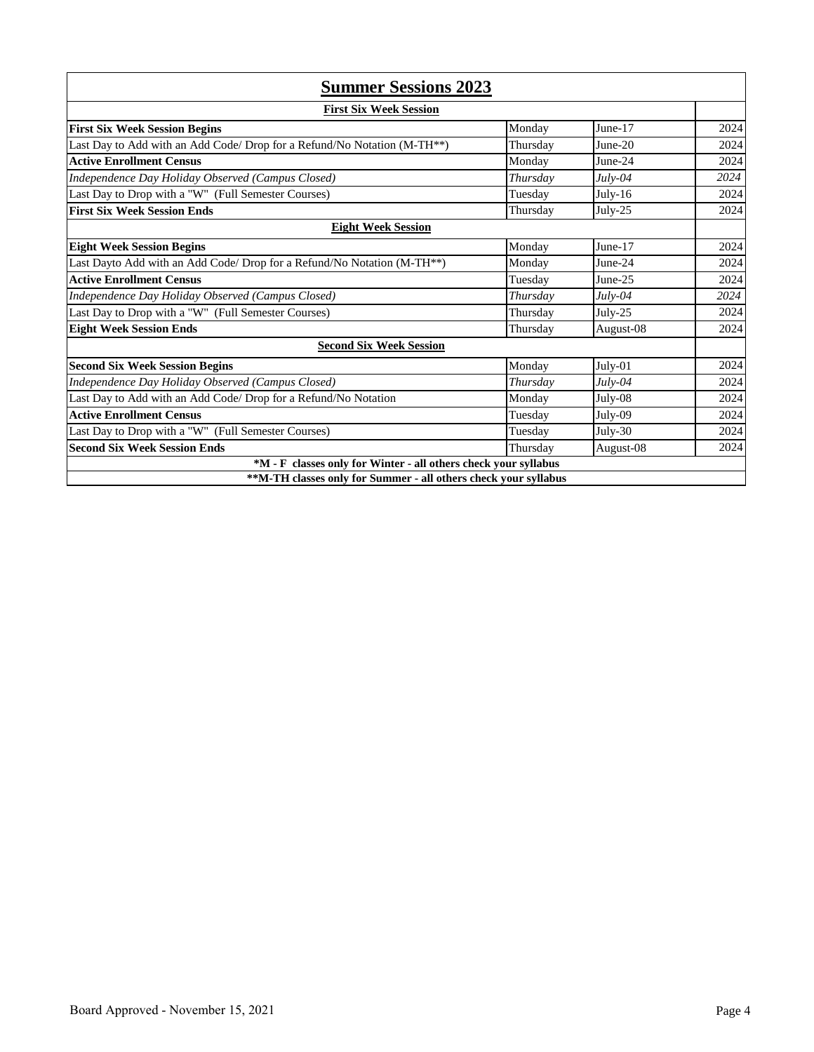| <b>Summer Sessions 2023</b>                                                           |          |           |      |
|---------------------------------------------------------------------------------------|----------|-----------|------|
| <b>First Six Week Session</b>                                                         |          |           |      |
| <b>First Six Week Session Begins</b>                                                  | Monday   | June-17   | 2024 |
| Last Day to Add with an Add Code/ Drop for a Refund/No Notation (M-TH <sup>**</sup> ) | Thursday | $June-20$ | 2024 |
| <b>Active Enrollment Census</b>                                                       | Monday   | June-24   | 2024 |
| Independence Day Holiday Observed (Campus Closed)                                     | Thursday | $Julv-04$ | 2024 |
| Last Day to Drop with a "W" (Full Semester Courses)                                   | Tuesday  | $July-16$ | 2024 |
| <b>First Six Week Session Ends</b>                                                    | Thursday | $July-25$ | 2024 |
| <b>Eight Week Session</b>                                                             |          |           |      |
| <b>Eight Week Session Begins</b>                                                      | Monday   | June-17   | 2024 |
| Last Dayto Add with an Add Code/ Drop for a Refund/No Notation (M-TH <sup>**</sup> )  | Monday   | June-24   | 2024 |
| <b>Active Enrollment Census</b>                                                       | Tuesday  | June-25   | 2024 |
| Independence Day Holiday Observed (Campus Closed)                                     | Thursday | $July-04$ | 2024 |
| Last Day to Drop with a "W" (Full Semester Courses)                                   | Thursday | $July-25$ | 2024 |
| <b>Eight Week Session Ends</b>                                                        | Thursday | August-08 | 2024 |
| <b>Second Six Week Session</b>                                                        |          |           |      |
| <b>Second Six Week Session Begins</b>                                                 | Monday   | July-01   | 2024 |
| Independence Day Holiday Observed (Campus Closed)                                     | Thursday | $July-04$ | 2024 |
| Last Day to Add with an Add Code/ Drop for a Refund/No Notation                       | Monday   | July-08   | 2024 |
| <b>Active Enrollment Census</b>                                                       | Tuesday  | July-09   | 2024 |
| Last Day to Drop with a "W" (Full Semester Courses)                                   | Tuesday  | $July-30$ | 2024 |
| <b>Second Six Week Session Ends</b>                                                   | Thursday | August-08 | 2024 |
| *M - F classes only for Winter - all others check your syllabus                       |          |           |      |
| **M-TH classes only for Summer - all others check your syllabus                       |          |           |      |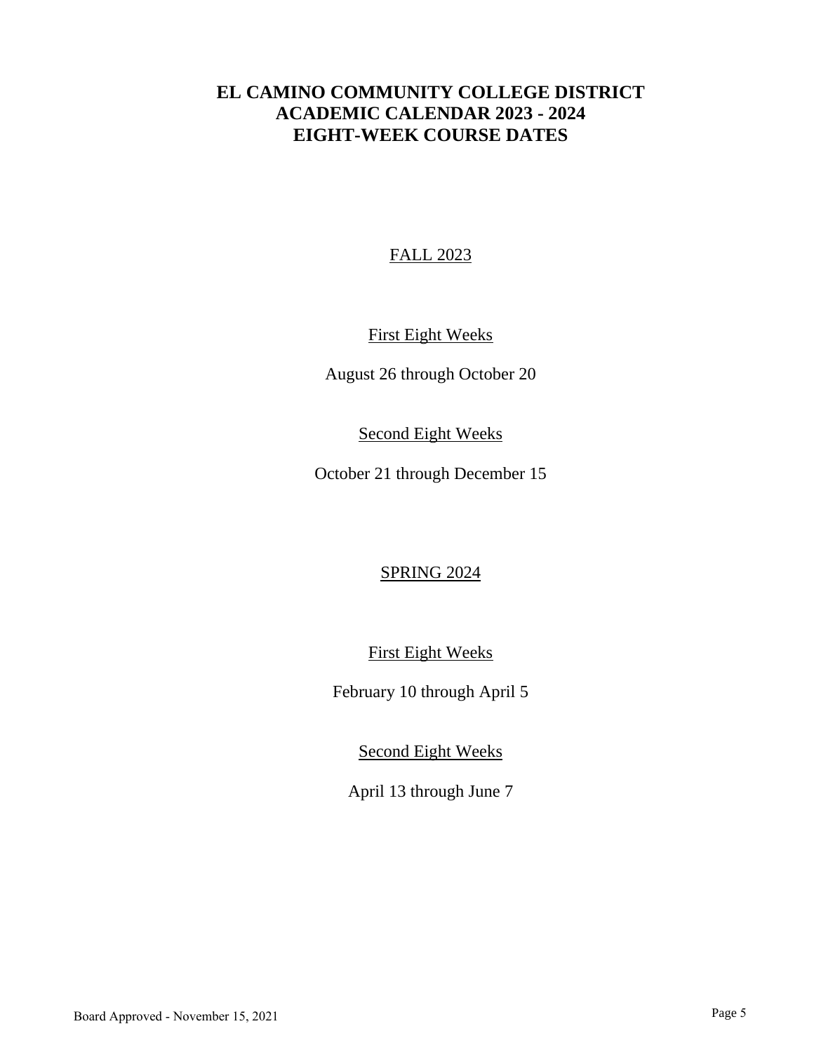# **EL CAMINO COMMUNITY COLLEGE DISTRICT ACADEMIC CALENDAR 2023 - 2024 EIGHT-WEEK COURSE DATES**

### FALL 2023

## First Eight Weeks

August 26 through October 20

### Second Eight Weeks

October 21 through December 15

## SPRING 2024

First Eight Weeks

February 10 through April 5

Second Eight Weeks

April 13 through June 7